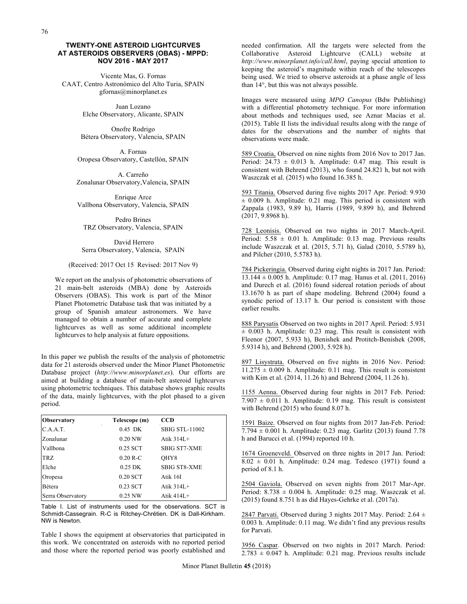# **TWENTY-ONE ASTEROID LIGHTCURVES AT ASTEROIDS OBSERVERS (OBAS) - MPPD: NOV 2016 - MAY 2017**

Vicente Mas, G. Fornas CAAT, Centro Astronómico del Alto Turia, SPAIN gfornas@minorplanet.es

> Juan Lozano Elche Observatory, Alicante, SPAIN

Onofre Rodrigo Bétera Observatory, Valencia, SPAIN

A. Fornas Oropesa Observatory, Castellón, SPAIN

A. Carreño Zonalunar Observatory,Valencia, SPAIN

Enrique Arce Vallbona Observatory, Valencia, SPAIN

Pedro Brines TRZ Observatory, Valencia, SPAIN

 David Herrero Serra Observatory, Valencia, SPAIN

(Received: 2017 Oct 15 Revised: 2017 Nov 9)

We report on the analysis of photometric observations of 21 main-belt asteroids (MBA) done by Asteroids Observers (OBAS). This work is part of the Minor Planet Photometric Database task that was initiated by a group of Spanish amateur astronomers. We have managed to obtain a number of accurate and complete lightcurves as well as some additional incomplete lightcurves to help analysis at future oppositions.

In this paper we publish the results of the analysis of photometric data for 21 asteroids observed under the Minor Planet Photometric Database project (*http://www.minorplanet.es*). Our efforts are aimed at building a database of main-belt asteroid lightcurves using photometric techniques. This database shows graphic results of the data, mainly lightcurves, with the plot phased to a given period.

| <b>Observatory</b> | Telescope (m) | <b>CCD</b>            |  |  |  |
|--------------------|---------------|-----------------------|--|--|--|
| C.A.A.T.           | 0.45 DK       | <b>SBIG STL-11002</b> |  |  |  |
| Zonalunar          | $0.20$ NW     | Atik $314L+$          |  |  |  |
| Vallbona           | 0.25 SCT      | <b>SBIG ST7-XME</b>   |  |  |  |
| <b>TRZ</b>         | $0.20 R-C$    | OHY8                  |  |  |  |
| Elche              | $0.25$ DK     | <b>SBIG ST8-XME</b>   |  |  |  |
| Oropesa            | $0.20$ SCT    | Atik 16I              |  |  |  |
| Bétera             | 0.23 SCT      | Atik $314I +$         |  |  |  |
| Serra Observatory  | $0.25$ NW     | Atik $414L+$          |  |  |  |

Table I. List of instruments used for the observations. SCT is Schmidt-Cassegrain. R-C is Ritchey-Chrétien. DK is Dall-Kirkham. NW is Newton.

Table I shows the equipment at observatories that participated in this work. We concentrated on asteroids with no reported period and those where the reported period was poorly established and needed confirmation. All the targets were selected from the Collaborative Asteroid Lightcurve (CALL) website at *http://www.minorplanet.info/call.html*, paying special attention to keeping the asteroid's magnitude within reach of the telescopes being used. We tried to observe asteroids at a phase angle of less than 14°, but this was not always possible.

Images were measured using *MPO Canopus* (Bdw Publishing) with a differential photometry technique. For more information about methods and techniques used, see Aznar Macias et al. (2015). Table II lists the individual results along with the range of dates for the observations and the number of nights that observations were made.

589 Croatia, Observed on nine nights from 2016 Nov to 2017 Jan. Period:  $24.73 \pm 0.013$  h. Amplitude: 0.47 mag. This result is consistent with Behrend (2013), who found 24.821 h, but not with Waszczak et al. (2015) who found 16.385 h.

593 Titania. Observed during five nights 2017 Apr. Period: 9.930  $\pm$  0.009 h. Amplitude: 0.21 mag. This period is consistent with Zappala (1983, 9.89 h), Harris (1989, 9.899 h), and Behrend  $(2017, 9.8968 h)$ .

728 Leonisis. Observed on two nights in 2017 March-April. Period:  $5.58 \pm 0.01$  h. Amplitude: 0.13 mag. Previous results include Waszczak et al. (2015, 5.71 h), Galad (2010, 5.5789 h), and Pilcher (2010, 5.5783 h).

784 Pickeringia. Observed during eight nights in 2017 Jan. Period: 13.144 ± 0.005 h. Amplitude: 0.17 mag. Hanus et al. (2011, 2016) and Durech et al. (2016) found sidereal rotation periods of about 13.1670 h as part of shape modeling. Behrend (2004) found a synodic period of 13.17 h. Our period is consistent with those earlier results.

888 Parysatis Observed on two nights in 2017 April. Period: 5.931  $\pm$  0.003 h. Amplitude: 0.23 mag. This result is consistent with Fleenor (2007, 5.933 h), Benishek and Protitch-Benishek (2008, 5.9314 h), and Behrend (2003, 5.928 h).

897 Lisystrata. Observed on five nights in 2016 Nov. Period:  $11.275 \pm 0.009$  h. Amplitude: 0.11 mag. This result is consistent with Kim et al. (2014, 11.26 h) and Behrend (2004, 11.26 h).

1155 Aenna. Observed during four nights in 2017 Feb. Period:  $7.907 \pm 0.011$  h. Amplitude: 0.19 mag. This result is consistent with Behrend (2015) who found 8.07 h.

1591 Baize. Observed on four nights from 2017 Jan-Feb. Period: 7.794 ± 0.001 h. Amplitude: 0.23 mag. Garlitz (2013) found 7.78 h and Barucci et al. (1994) reported 10 h.

1674 Groeneveld. Observed on three nights in 2017 Jan. Period:  $8.02 \pm 0.01$  h. Amplitude: 0.24 mag. Tedesco (1971) found a period of 8.1 h.

2504 Gaviola. Observed on seven nights from 2017 Mar-Apr. Period:  $8.738 \pm 0.004$  h. Amplitude: 0.25 mag. Waszczak et al. (2015) found 8.751 h as did Hayes-Gehrke et al. (2017a).

2847 Parvati. Observed during 3 nights 2017 May. Period:  $2.64 \pm$ 0.003 h. Amplitude: 0.11 mag. We didn't find any previous results for Parvati.

3956 Caspar. Observed on two nights in 2017 March. Period:  $2.783 \pm 0.047$  h. Amplitude: 0.21 mag. Previous results include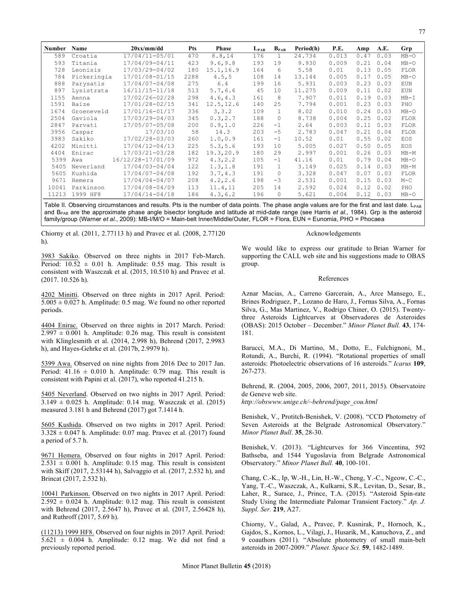77

| <b>Number</b> | Name        | 20xx/mm/dd        | <b>Pts</b> | <b>Phase</b> | $L_{PAB}$ | $B_{PAB}$    | Period(h) | <b>P.E.</b> | Amp  | <b>A.E.</b> | Grp         |
|---------------|-------------|-------------------|------------|--------------|-----------|--------------|-----------|-------------|------|-------------|-------------|
| 589           | Croatia     | 17/04/11-05/01    | 470        | 8.8,14       | 176       | $\mathbf{1}$ | 24.734    | 0.013       | 0.47 | 0.03        | $MB-O$      |
| 593           | Titania     | 17/04/09-04/11    | 423        | 9.6, 9.8     | 193       | 19           | 9.930     | 0.009       | 0.21 | 0.04        | $MB-O$      |
| 728           | Leonisis    | 17/03/29-04/02    | 180        | 15.1, 16.9   | 164       | 6            | 5.58      | 0.01        | 0.13 | 0.05        | <b>FLOR</b> |
| 784           | Pickeringia | 17/01/08-01/15    | 2288       | 4.5, 5       | 108       | 14           | 13.144    | 0.005       | 0.17 | 0.05        | $MB-O$      |
| 888           | Parysatis   | 17/04/07-04/08    | 275        | 6.4          | 199       | 16           | 5.931     | 0.003       | 0.23 | 0.03        | <b>EUN</b>  |
| 897           | Lysistrata  | 16/11/15-11/18    | 513        | 5.7, 6.6     | 45        | 10           | 11.275    | 0.009       | 0.11 | 0.02        | EUN         |
| 1155          | Aenna       | 17/02/26-02/28    | 298        | 4.6, 4.3     | 161       | 8            | 7.907     | 0.011       | 0.19 | 0.03        | $MB - I$    |
| 1591          | Baize       | 17/01/28-02/15    | 341        | 12.5, 12.6   | 140       | 25           | 7.794     | 0.001       | 0.23 | 0.03        | PHO         |
| 1674          | Groeneveld  | 17/01/16-01/17    | 336        | 3, 3, 2      | 109       | $\mathbf{1}$ | 8.02      | 0.010       | 0.24 | 0.03        | $MB-O$      |
| 2504          | Gaviola     | 17/03/29-04/03    | 345        | 0.3, 2.7     | 188       | 0            | 8.738     | 0.004       | 0.25 | 0.02        | <b>FLOR</b> |
| 2847          | Parvati     | 17/05/07-05/08    | 200        | 0.9, 1.0     | 226       | $-1$         | 2.64      | 0.003       | 0.11 | 0.03        | <b>FLOR</b> |
| 3956          | Caspar      | 17/03/10          | 58         | 14.3         | 203       | $-5$         | 2.783     | 0.047       | 0.21 | 0.04        | <b>FLOR</b> |
| 3983          | Sakiko      | 17/02/28-03/03    | 260        | 1.0, 0.9     | 161       | $-1$         | 10.52     | 0.01        | 0.55 | 0.02        | EOS         |
| 4202          | Minitti     | 17/04/12-04/13    | 225        | 5.3, 5.6     | 193       | 10           | 5.005     | 0.027       | 0.50 | 0.05        | EOS         |
| 4404          | Enirac      | 17/03/21-03/28    | 182        | 19.3, 20.9   | 180       | 29           | 2.997     | 0.001       | 0.26 | 0.03        | $MB-M$      |
| 5399          | Awa         | 16/12/28-17/01/09 | 972        | 4.3, 2.2     | 105       | $-1$         | 41.16     | 0.01        | 0.79 | 0.04        | $MB-O$      |
| 5405          | Neverland   | 17/04/03-04/04    | 122        | 1.3, 1.8     | 191       | $\mathbf{1}$ | 3.149     | 0.025       | 0.14 | 0.03        | $MB-M$      |
| 5605          | Kushida     | 17/04/07-04/08    | 192        | 3.7, 4.3     | 191       | 0            | 3.328     | 0.047       | 0.07 | 0.03        | <b>FLOR</b> |
| 9671          | Hemera      | 17/04/04-04/07    | 208        | 4.2, 2.6     | 198       | $-3$         | 2.531     | 0.001       | 0.15 | 0.03        | $M-C$       |
| 10041         | Parkinson   | 17/04/08-04/09    | 113        | 11.4, 11     | 205       | 14           | 2.592     | 0.024       | 0.12 | 0.02        | PHO         |
| 11213         | 1999 HF8    | 17/04/14-04/18    | 186        | 4.3, 6.2     | 196       | $\circ$      | 5.621     | 0.004       | 0.12 | 0.03        | $MB-O$      |

Table II. Observing circumstances and results. Pts is the number of data points. The phase angle values are for the first and last date. L<sub>PAB</sub> and B<sub>PAB</sub> are the approximate phase angle bisector longitude and latitude at mid-date range (see Harris *et al.*, 1984). Grp is the asteroid family/group (Warner *et al.*, 2009): MB-I/M/O = Main-belt Inner/Middle/Outer, FLOR = Flora, EUN = Eunomia, PHO = Phocaea

Chiorny et al. (2011, 2.77113 h) and Pravec et al. (2008, 2.77120 h).

3983 Sakiko. Observed on three nights in 2017 Feb-March. Period:  $10.52 \pm 0.01$  h. Amplitude: 0.55 mag. This result is consistent with Waszczak et al. (2015, 10.510 h) and Pravec et al. (2017. 10.526 h).

4202 Minitti. Observed on three nights in 2017 April. Period:  $5.005 \pm 0.027$  h. Amplitude: 0.5 mag. We found no other reported periods.

4404 Enirac. Observed on three nights in 2017 March. Period:  $2.997 \pm 0.001$  h. Amplitude: 0.26 mag. This result is consistent with Klinglesmith et al. (2014, 2.998 h), Behrend (2017, 2.9983 h), and Hayes-Gehrke et al. (2017b, 2.9979 h).

5399 Awa. Observed on nine nights from 2016 Dec to 2017 Jan. Period:  $41.16 \pm 0.010$  h. Amplitude: 0.79 mag. This result is consistent with Papini et al. (2017), who reported 41.215 h.

5405 Neverland. Observed on two nights in 2017 April. Period:  $3.149 \pm 0.025$  h. Amplitude: 0.14 mag. Waszczak et al. (2015) measured 3.181 h and Behrend (2017) got 7.1414 h.

5605 Kushida. Observed on two nights in 2017 April. Period:  $3.328 \pm 0.047$  h. Amplitude: 0.07 mag. Pravec et al. (2017) found a period of 5.7 h.

9671 Hemera. Observed on four nights in 2017 April. Period:  $2.531 \pm 0.001$  h. Amplitude: 0.15 mag. This result is consistent with Skiff (2017, 2.53144 h), Salvaggio et al. (2017, 2.532 h), and Brincat (2017, 2.532 h).

10041 Parkinson. Observed on two nights in 2017 April. Period:  $2.592 \pm 0.024$  h. Amplitude: 0.12 mag. This result is consistent with Behrend (2017, 2.5647 h), Pravec et al. (2017, 2.56428 h), and Ruthroff (2017, 5.69 h).

(11213) 1999 HF8. Observed on four nights in 2017 April. Period:  $5.621 \pm 0.004$  h. Amplitude: 0.12 mag. We did not find a previously reported period.

#### Acknowledgements

We would like to express our gratitude to Brian Warner for supporting the CALL web site and his suggestions made to OBAS group.

#### References

Aznar Macias, A., Carreno Garcerain, A., Arce Mansego, E., Brines Rodriguez, P., Lozano de Haro, J., Fornas Silva, A., Fornas Silva, G., Mas Martinez, V., Rodrigo Chiner, O. (2015). Twentythree Asteroids Lightcurves at Observadores de Asteroides (OBAS): 2015 October – December." *Minor Planet Bull.* **43**, 174- 181.

Barucci, M.A., Di Martino, M., Dotto, E., Fulchignoni, M., Rotundi, A., Burchi, R. (1994). "Rotational properties of small asteroids: Photoelectric observations of 16 asteroids." *Icarus* **109**, 267-273.

Behrend, R. (2004, 2005, 2006, 2007, 2011, 2015). Observatoire de Geneve web site.

*http://obswww.unige.ch/~behrend/page\_cou.html*

Benishek, V., Protitch-Benishek, V. (2008). "CCD Photometry of Seven Asteroids at the Belgrade Astronomical Observatory." *Minor Planet Bull*. **35**, 28-30.

Benishek, V. (2013). "Lightcurves for 366 Vincentina, 592 Bathseba, and 1544 Yugoslavia from Belgrade Astronomical Observatory." *Minor Planet Bull.* **40**, 100-101.

Chang, C.-K., Ip, W.-H., Lin, H.-W., Cheng, Y.-C., Ngeow, C.-C., Yang, T.-C., Waszczak, A., Kulkarni, S.R., Levitan, D., Sesar, B., Laher, R., Surace, J., Prince, T.A. (2015). "Asteroid Spin-rate Study Using the Intermediate Palomar Transient Factory." *Ap. J. Suppl. Ser.* **219**, A27.

Chiorny, V., Galad, A., Pravec, P. Kusnirak, P., Hornoch, K., Gajdos, S., Kornos, L., Vilagi, J., Husarik, M., Kanuchova, Z., and 9 coauthors (2011). "Absolute photometry of small main-belt asteroids in 2007-2009." *Planet. Space Sci.* **59**, 1482-1489.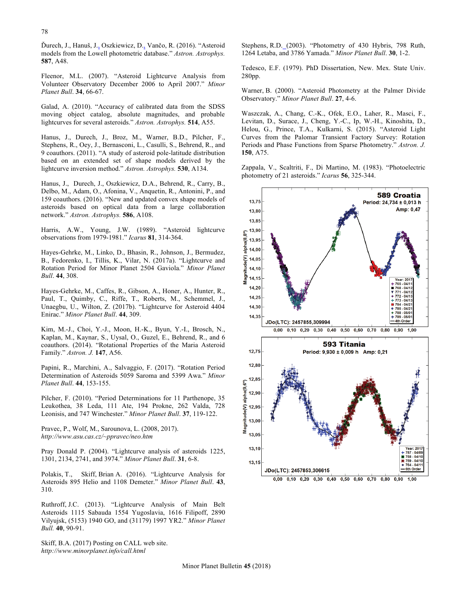Durech, J., Hanuš, J., Oszkiewicz, D., Vančo, R. (2016). "Asteroid models from the Lowell photometric database." *Astron. Astrophys.* **587**, A48.

Fleenor, M.L. (2007). "Asteroid Lightcurve Analysis from Volunteer Observatory December 2006 to April 2007." *Minor Planet Bull*. **34**, 66-67.

Galad, A. (2010). "Accuracy of calibrated data from the SDSS moving object catalog, absolute magnitudes, and probable lightcurves for several asteroids." *Astron. Astrophys.* **514**, A55.

Hanus, J., Durech, J., Broz, M., Warner, B.D., Pilcher, F., Stephens, R., Oey, J., Bernasconi, L., Casulli, S., Behrend, R., and 9 coauthors. (2011). "A study of asteroid pole-latitude distribution based on an extended set of shape models derived by the lightcurve inversion method." *Astron. Astrophys.* **530**, A134.

Hanus, J., Durech, J., Oszkiewicz, D.A., Behrend, R., Carry, B., Delbo, M., Adam, O., Afonina, V., Anquetin, R., Antonini, P., and 159 coauthors. (2016). "New and updated convex shape models of asteroids based on optical data from a large collaboration network." *Astron. Astrophys.* **586**, A108.

Harris, A.W., Young, J.W. (1989). "Asteroid lightcurve observations from 1979-1981." *Icarus* **81**, 314-364.

Hayes-Gehrke, M., Linko, D., Bhasin, R., Johnson, J., Bermudez, B., Fedorenko, I., Tillis, K., Vilar, N. (2017a). "Lightcurve and Rotation Period for Minor Planet 2504 Gaviola." *Minor Planet Bull*. **44**, 308.

Hayes-Gehrke, M., Caffes, R., Gibson, A., Honer, A., Hunter, R., Paul, T., Quimby, C., Riffe, T., Roberts, M., Schemmel, J., Unaegbu, U., Wilton, Z. (2017b). "Lightcurve for Asteroid 4404 Enirac." *Minor Planet Bull*. **44**, 309.

Kim, M.-J., Choi, Y.-J., Moon, H.-K., Byun, Y.-I., Brosch, N., Kaplan, M., Kaynar, S., Uysal, O., Guzel, E., Behrend, R., and 6 coauthors. (2014). "Rotational Properties of the Maria Asteroid Family." *Astron. J.* **147**, A56.

Papini, R., Marchini, A., Salvaggio, F. (2017). "Rotation Period Determination of Asteroids 5059 Saroma and 5399 Awa." *Minor Planet Bull*. **44**, 153-155.

Pilcher, F. (2010). "Period Determinations for 11 Parthenope, 35 Leukothea, 38 Leda, 111 Ate, 194 Prokne, 262 Valda, 728 Leonisis, and 747 Winchester." *Minor Planet Bull*. **37**, 119-122.

Pravec, P., Wolf, M., Sarounova, L. (2008, 2017). *http://www.asu.cas.cz/~ppravec/neo.htm*

Pray Donald P. (2004). "Lightcurve analysis of asteroids 1225, 1301, 2134, 2741, and 3974." *Minor Planet Bull*. **31**, 6-8.

Polakis, T., Skiff, Brian A. (2016). "Lightcurve Analysis for Asteroids 895 Helio and 1108 Demeter." *Minor Planet Bull*. **43**, 310.

Ruthroff, J.C. (2013). "Lightcurve Analysis of Main Belt Asteroids 1115 Sabauda 1554 Yugoslavia, 1616 Filipoff, 2890 Vilyujsk, (5153) 1940 GO, and (31179) 1997 YR2." *Minor Planet Bull.* **40**, 90-91.

Skiff, B.A. (2017) Posting on CALL web site. *http://www.minorplanet.info/call.html*

Stephens, R.D. (2003). "Photometry of 430 Hybris, 798 Ruth, 1264 Letaba, and 3786 Yamada." *Minor Planet Bull*. **30**, 1-2.

Tedesco, E.F. (1979). PhD Dissertation, New. Mex. State Univ. 280pp.

Warner, B. (2000). "Asteroid Photometry at the Palmer Divide Observatory." *Minor Planet Bull*. **27**, 4-6.

Waszczak, A., Chang, C.-K., Ofek, E.O., Laher, R., Masci, F., Levitan, D., Surace, J., Cheng, Y.-C., Ip, W.-H., Kinoshita, D., Helou, G., Prince, T.A., Kulkarni, S. (2015). "Asteroid Light Curves from the Palomar Transient Factory Survey: Rotation Periods and Phase Functions from Sparse Photometry." *Astron. J.* **150**, A75.

Zappala, V., Scaltriti, F., Di Martino, M. (1983). "Photoelectric photometry of 21 asteroids." *Icarus* **56**, 325-344.

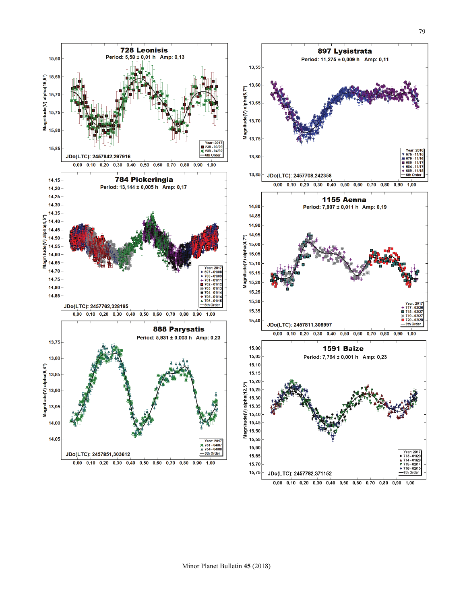

 $0,00$   $0,10$   $0,20$   $0,30$   $0,40$   $0,50$   $0,60$   $0,70$   $0,80$   $0,90$   $1,00$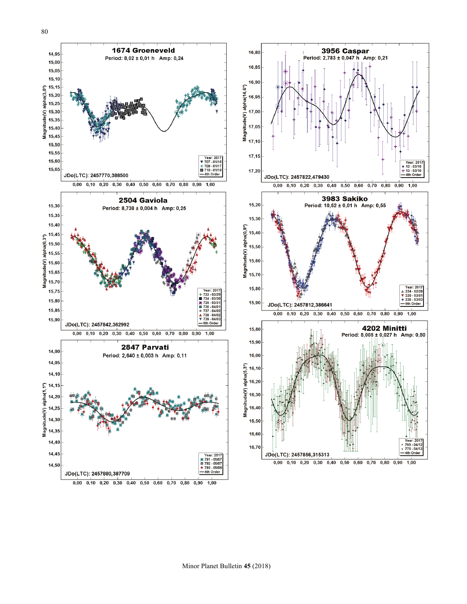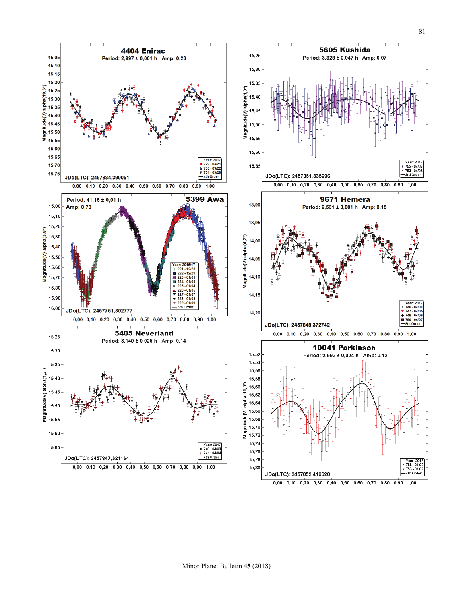